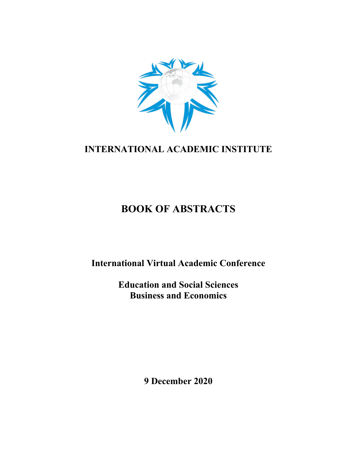

## **INTERNATIONAL ACADEMIC INSTITUTE**

# **BOOK OF ABSTRACTS**

**International Virtual Academic Conference**

**Education and Social Sciences Business and Economics**

**9 December 2020**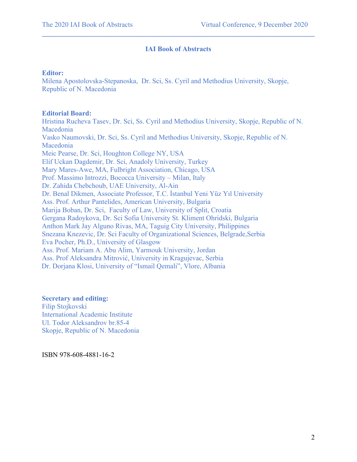#### **IAI Book of Abstracts**

 $\mathcal{L}_\mathcal{L} = \{ \mathcal{L}_\mathcal{L} = \{ \mathcal{L}_\mathcal{L} = \{ \mathcal{L}_\mathcal{L} = \{ \mathcal{L}_\mathcal{L} = \{ \mathcal{L}_\mathcal{L} = \{ \mathcal{L}_\mathcal{L} = \{ \mathcal{L}_\mathcal{L} = \{ \mathcal{L}_\mathcal{L} = \{ \mathcal{L}_\mathcal{L} = \{ \mathcal{L}_\mathcal{L} = \{ \mathcal{L}_\mathcal{L} = \{ \mathcal{L}_\mathcal{L} = \{ \mathcal{L}_\mathcal{L} = \{ \mathcal{L}_\mathcal{$ 

#### **Editor:**

Milena Apostolovska-Stepanoska, Dr. Sci, Ss. Cyril and Methodius University, Skopje, Republic of N. Macedonia

#### **Editorial Board:**

Hristina Rucheva Tasev, Dr. Sci, Ss. Cyril and Methodius University, Skopje, Republic of N. Macedonia Vasko Naumovski, Dr. Sci, Ss. Cyril and Methodius University, Skopje, Republic of N. Macedonia Meic Pearse, Dr. Sci, Houghton College NY, USA Elif Uckan Dagdemir, Dr. Sci, Anadoly University, Turkey Mary Mares-Awe, MA, Fulbright Association, Chicago, USA Prof. Massimo Introzzi, Bococca University – Milan, Italy Dr. Zahida Chebchoub, UAE University, Al-Ain Dr. Benal Dikmen, Associate Professor, T.C. İstanbul Yeni Yüz Yıl University Ass. Prof. Arthur Pantelides, American University, Bulgaria Marija Boban, Dr. Sci, Faculty of Law, University of Split, Croatia Gergana Radoykova, Dr. Sci Sofia University St. Kliment Ohridski, Bulgaria Anthon Mark Jay Alguno Rivas, MA, Taguig City University, Philippines Snezana Knezevic, Dr. Sci Faculty of Organizational Sciences, Belgrade,Serbia Eva Pocher, Ph.D., University of Glasgow Ass. Prof. Mariam A. Abu Alim, Yarmouk University, Jordan Ass. Prof Aleksandra Mitrović, University in Kragujevac, Serbia Dr. Dorjana Klosi, University of "Ismail Qemali", Vlore, Albania

#### **Secretary and editing:** Filip Stojkovski International Academic Institute Ul. Todor Aleksandrov br.85-4 Skopje, Republic of N. Macedonia

ISBN 978-608-4881-16-2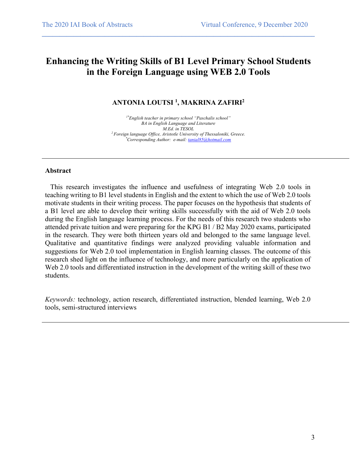## **Enhancing the Writing Skills of B1 Level Primary School Students in the Foreign Language using WEB 2.0 Tools**

 $\mathcal{L}_\mathcal{L} = \{ \mathcal{L}_\mathcal{L} = \{ \mathcal{L}_\mathcal{L} = \{ \mathcal{L}_\mathcal{L} = \{ \mathcal{L}_\mathcal{L} = \{ \mathcal{L}_\mathcal{L} = \{ \mathcal{L}_\mathcal{L} = \{ \mathcal{L}_\mathcal{L} = \{ \mathcal{L}_\mathcal{L} = \{ \mathcal{L}_\mathcal{L} = \{ \mathcal{L}_\mathcal{L} = \{ \mathcal{L}_\mathcal{L} = \{ \mathcal{L}_\mathcal{L} = \{ \mathcal{L}_\mathcal{L} = \{ \mathcal{L}_\mathcal{$ 

#### **ANTONIA LOUTSI 1 , MAKRINA ZAFIRI2**

*1\*English teacher in primary school "Paschalis school" BA in English Language and Literature M.Ed. in TESOL 2 Foreign language Office, Aristotle University of Thessaloniki, Greece. \* Corresponding Author: e-mail: tanial85@hotmail.com*

#### **Abstract**

 This research investigates the influence and usefulness of integrating Web 2.0 tools in teaching writing to B1 level students in English and the extent to which the use of Web 2.0 tools motivate students in their writing process. The paper focuses on the hypothesis that students of a B1 level are able to develop their writing skills successfully with the aid of Web 2.0 tools during the English language learning process. For the needs of this research two students who attended private tuition and were preparing for the KPG B1 / B2 May 2020 exams, participated in the research. They were both thirteen years old and belonged to the same language level. Qualitative and quantitative findings were analyzed providing valuable information and suggestions for Web 2.0 tool implementation in English learning classes. The outcome of this research shed light on the influence of technology, and more particularly on the application of Web 2.0 tools and differentiated instruction in the development of the writing skill of these two students.

*Keywords:* technology, action research, differentiated instruction, blended learning, Web 2.0 tools, semi-structured interviews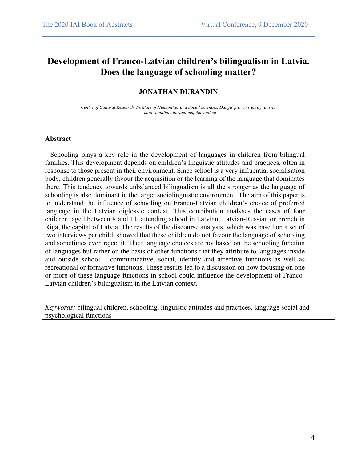### **Development of Franco-Latvian children's bilingualism in Latvia. Does the language of schooling matter?**

 $\mathcal{L}_\mathcal{L} = \{ \mathcal{L}_\mathcal{L} = \{ \mathcal{L}_\mathcal{L} = \{ \mathcal{L}_\mathcal{L} = \{ \mathcal{L}_\mathcal{L} = \{ \mathcal{L}_\mathcal{L} = \{ \mathcal{L}_\mathcal{L} = \{ \mathcal{L}_\mathcal{L} = \{ \mathcal{L}_\mathcal{L} = \{ \mathcal{L}_\mathcal{L} = \{ \mathcal{L}_\mathcal{L} = \{ \mathcal{L}_\mathcal{L} = \{ \mathcal{L}_\mathcal{L} = \{ \mathcal{L}_\mathcal{L} = \{ \mathcal{L}_\mathcal{$ 

#### **JONATHAN DURANDIN**

*Centre of Cultural Research, Institute of Humanities and Social Sciences, Daugavpils University, Latvia e-mail: jonathan.durandin@bluemail.ch*

#### **Abstract**

 Schooling plays a key role in the development of languages in children from bilingual families. This development depends on children's linguistic attitudes and practices, often in response to those present in their environment. Since school is a very influential socialisation body, children generally favour the acquisition or the learning of the language that dominates there. This tendency towards unbalanced bilingualism is all the stronger as the language of schooling is also dominant in the larger sociolinguistic environment. The aim of this paper is to understand the influence of schooling on Franco-Latvian children's choice of preferred language in the Latvian diglossic context. This contribution analyses the cases of four children, aged between 8 and 11, attending school in Latvian, Latvian-Russian or French in Riga, the capital of Latvia. The results of the discourse analysis, which was based on a set of two interviews per child, showed that these children do not favour the language of schooling and sometimes even reject it. Their language choices are not based on the schooling function of languages but rather on the basis of other functions that they attribute to languages inside and outside school – communicative, social, identity and affective functions as well as recreational or formative functions. These results led to a discussion on how focusing on one or more of these language functions in school could influence the development of Franco-Latvian children's bilingualism in the Latvian context.

*Keywords:* bilingual children, schooling, linguistic attitudes and practices, language social and psychological functions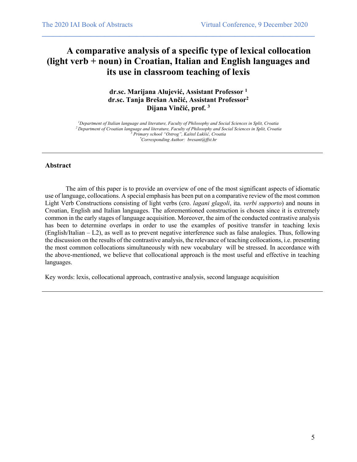## **A comparative analysis of a specific type of lexical collocation (light verb + noun) in Croatian, Italian and English languages and its use in classroom teaching of lexis**

 $\mathcal{L}_\mathcal{L} = \{ \mathcal{L}_\mathcal{L} = \{ \mathcal{L}_\mathcal{L} = \{ \mathcal{L}_\mathcal{L} = \{ \mathcal{L}_\mathcal{L} = \{ \mathcal{L}_\mathcal{L} = \{ \mathcal{L}_\mathcal{L} = \{ \mathcal{L}_\mathcal{L} = \{ \mathcal{L}_\mathcal{L} = \{ \mathcal{L}_\mathcal{L} = \{ \mathcal{L}_\mathcal{L} = \{ \mathcal{L}_\mathcal{L} = \{ \mathcal{L}_\mathcal{L} = \{ \mathcal{L}_\mathcal{L} = \{ \mathcal{L}_\mathcal{$ 

**dr.sc. Marijana Alujević, Assistant Professor 1 dr.sc. Tanja Brešan Ančić, Assistant Professor2 Dijana Vinčić, prof. 3**

*1 Department of Italian language and literature, Faculty of Philosophy and Social Sciences in Split, Croatia 2 Department of Croatian language and literature, Faculty of Philosophy and Social Sciences in Split, Croatia <sup>3</sup> Primary school "Ostrog", Kaštel Lukšić, Croatia \* Corresponding Author: bresant@ffst.hr*

#### **Abstract**

The aim of this paper is to provide an overview of one of the most significant aspects of idiomatic use of language, collocations. A special emphasis has been put on a comparative review of the most common Light Verb Constructions consisting of light verbs (cro. *lagani glagoli*, ita. *verbi supporto*) and nouns in Croatian, English and Italian languages. The aforementioned construction is chosen since it is extremely common in the early stages of language acquisition. Moreover, the aim of the conducted contrastive analysis has been to determine overlaps in order to use the examples of positive transfer in teaching lexis (English/Italian – L2), as well as to prevent negative interference such as false analogies. Thus, following the discussion on the results of the contrastive analysis, the relevance of teaching collocations, i.e. presenting the most common collocations simultaneously with new vocabulary will be stressed. In accordance with the above-mentioned, we believe that collocational approach is the most useful and effective in teaching languages.

Key words: lexis, collocational approach, contrastive analysis, second language acquisition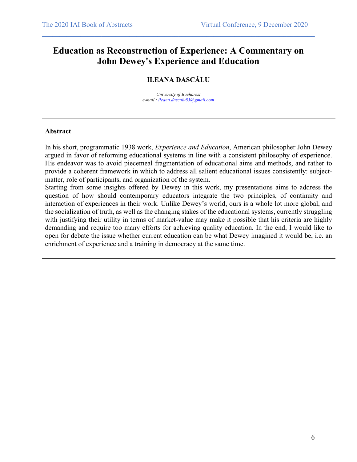### **Education as Reconstruction of Experience: A Commentary on John Dewey's Experience and Education**

 $\mathcal{L}_\mathcal{L} = \{ \mathcal{L}_\mathcal{L} = \{ \mathcal{L}_\mathcal{L} = \{ \mathcal{L}_\mathcal{L} = \{ \mathcal{L}_\mathcal{L} = \{ \mathcal{L}_\mathcal{L} = \{ \mathcal{L}_\mathcal{L} = \{ \mathcal{L}_\mathcal{L} = \{ \mathcal{L}_\mathcal{L} = \{ \mathcal{L}_\mathcal{L} = \{ \mathcal{L}_\mathcal{L} = \{ \mathcal{L}_\mathcal{L} = \{ \mathcal{L}_\mathcal{L} = \{ \mathcal{L}_\mathcal{L} = \{ \mathcal{L}_\mathcal{$ 

#### **ILEANA DASCĂLU**

*University of Bucharest e-mail ; ileana.dascalu83@gmail.com*

#### **Abstract**

In his short, programmatic 1938 work, *Experience and Education*, American philosopher John Dewey argued in favor of reforming educational systems in line with a consistent philosophy of experience. His endeavor was to avoid piecemeal fragmentation of educational aims and methods, and rather to provide a coherent framework in which to address all salient educational issues consistently: subjectmatter, role of participants, and organization of the system.

Starting from some insights offered by Dewey in this work, my presentations aims to address the question of how should contemporary educators integrate the two principles, of continuity and interaction of experiences in their work. Unlike Dewey's world, ours is a whole lot more global, and the socialization of truth, as well as the changing stakes of the educational systems, currently struggling with justifying their utility in terms of market-value may make it possible that his criteria are highly demanding and require too many efforts for achieving quality education. In the end, I would like to open for debate the issue whether current education can be what Dewey imagined it would be, i.e. an enrichment of experience and a training in democracy at the same time.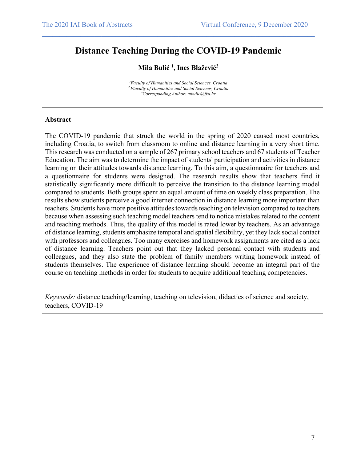## **Distance Teaching During the COVID-19 Pandemic**

 $\mathcal{L}_\mathcal{L} = \{ \mathcal{L}_\mathcal{L} = \{ \mathcal{L}_\mathcal{L} = \{ \mathcal{L}_\mathcal{L} = \{ \mathcal{L}_\mathcal{L} = \{ \mathcal{L}_\mathcal{L} = \{ \mathcal{L}_\mathcal{L} = \{ \mathcal{L}_\mathcal{L} = \{ \mathcal{L}_\mathcal{L} = \{ \mathcal{L}_\mathcal{L} = \{ \mathcal{L}_\mathcal{L} = \{ \mathcal{L}_\mathcal{L} = \{ \mathcal{L}_\mathcal{L} = \{ \mathcal{L}_\mathcal{L} = \{ \mathcal{L}_\mathcal{$ 

#### **Mila Bulić 1 , Ines Blažević2**

*1 Faculty of Humanities and Social Sciences, Croatia 2 Fiaculty of Humanities and Social Sciences, Croatia \* Corresponding Author: mbulic@ffst.hr*

#### **Abstract**

The COVID-19 pandemic that struck the world in the spring of 2020 caused most countries, including Croatia, to switch from classroom to online and distance learning in a very short time. This research was conducted on a sample of 267 primary school teachers and 67 students of Teacher Education. The aim was to determine the impact of students' participation and activities in distance learning on their attitudes towards distance learning. To this aim, a questionnaire for teachers and a questionnaire for students were designed. The research results show that teachers find it statistically significantly more difficult to perceive the transition to the distance learning model compared to students. Both groups spent an equal amount of time on weekly class preparation. The results show students perceive a good internet connection in distance learning more important than teachers. Students have more positive attitudes towards teaching on television compared to teachers because when assessing such teaching model teachers tend to notice mistakes related to the content and teaching methods. Thus, the quality of this model is rated lower by teachers. As an advantage of distance learning, students emphasize temporal and spatial flexibility, yet they lack social contact with professors and colleagues. Too many exercises and homework assignments are cited as a lack of distance learning. Teachers point out that they lacked personal contact with students and colleagues, and they also state the problem of family members writing homework instead of students themselves. The experience of distance learning should become an integral part of the course on teaching methods in order for students to acquire additional teaching competencies.

*Keywords:* distance teaching/learning, teaching on television, didactics of science and society, teachers, COVID-19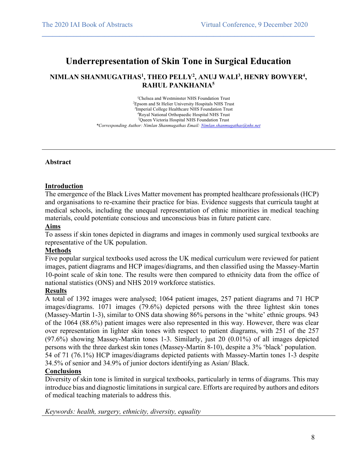### **Underrepresentation of Skin Tone in Surgical Education**

 $\mathcal{L}_\mathcal{L} = \{ \mathcal{L}_\mathcal{L} = \{ \mathcal{L}_\mathcal{L} = \{ \mathcal{L}_\mathcal{L} = \{ \mathcal{L}_\mathcal{L} = \{ \mathcal{L}_\mathcal{L} = \{ \mathcal{L}_\mathcal{L} = \{ \mathcal{L}_\mathcal{L} = \{ \mathcal{L}_\mathcal{L} = \{ \mathcal{L}_\mathcal{L} = \{ \mathcal{L}_\mathcal{L} = \{ \mathcal{L}_\mathcal{L} = \{ \mathcal{L}_\mathcal{L} = \{ \mathcal{L}_\mathcal{L} = \{ \mathcal{L}_\mathcal{$ 

#### **NIMLAN SHANMUGATHAS1 , THEO PELLY2 , ANUJ WALI3 , HENRY BOWYER4 , RAHUL PANKHANIA5**

 Chelsea and Westminster NHS Foundation Trust Epsom and St Helier University Hospitals NHS Trust Imperial College Healthcare NHS Foundation Trust Royal National Orthopaedic Hospital NHS Trust Queen Victoria Hospital NHS Foundation Trust *\*Corresponding Author: Nimlan Shanmugathas Email: Nimlan.shanmugathas@nhs.net*

#### **Abstract**

#### **Introduction**

The emergence of the Black Lives Matter movement has prompted healthcare professionals (HCP) and organisations to re-examine their practice for bias. Evidence suggests that curricula taught at medical schools, including the unequal representation of ethnic minorities in medical teaching materials, could potentiate conscious and unconscious bias in future patient care.

#### **Aims**

To assess if skin tones depicted in diagrams and images in commonly used surgical textbooks are representative of the UK population.

#### **Methods**

Five popular surgical textbooks used across the UK medical curriculum were reviewed for patient images, patient diagrams and HCP images/diagrams, and then classified using the Massey-Martin 10-point scale of skin tone. The results were then compared to ethnicity data from the office of national statistics (ONS) and NHS 2019 workforce statistics.

#### **Results**

A total of 1392 images were analysed; 1064 patient images, 257 patient diagrams and 71 HCP images/diagrams. 1071 images (79.6%) depicted persons with the three lightest skin tones (Massey-Martin 1-3), similar to ONS data showing 86% persons in the 'white' ethnic groups. 943 of the 1064 (88.6%) patient images were also represented in this way. However, there was clear over representation in lighter skin tones with respect to patient diagrams, with 251 of the 257 (97.6%) showing Massey-Martin tones 1-3. Similarly, just 20 (0.01%) of all images depicted persons with the three darkest skin tones (Massey-Martin 8-10), despite a 3% 'black' population. 54 of 71 (76.1%) HCP images/diagrams depicted patients with Massey-Martin tones 1-3 despite 34.5% of senior and 34.9% of junior doctors identifying as Asian/ Black.

#### **Conclusions**

Diversity of skin tone is limited in surgical textbooks, particularly in terms of diagrams. This may introduce bias and diagnostic limitations in surgical care. Efforts are required by authors and editors of medical teaching materials to address this.

*Keywords: health, surgery, ethnicity, diversity, equality*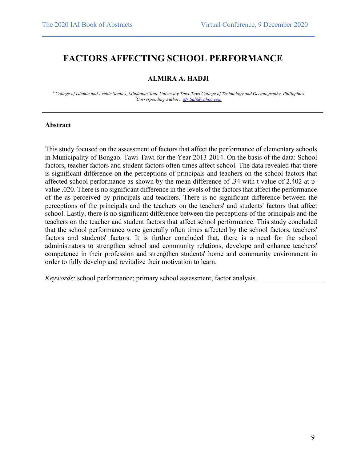### **FACTORS AFFECTING SCHOOL PERFORMANCE**

#### **ALMIRA A. HADJI**

 $\mathcal{L}_\mathcal{L} = \{ \mathcal{L}_\mathcal{L} = \{ \mathcal{L}_\mathcal{L} = \{ \mathcal{L}_\mathcal{L} = \{ \mathcal{L}_\mathcal{L} = \{ \mathcal{L}_\mathcal{L} = \{ \mathcal{L}_\mathcal{L} = \{ \mathcal{L}_\mathcal{L} = \{ \mathcal{L}_\mathcal{L} = \{ \mathcal{L}_\mathcal{L} = \{ \mathcal{L}_\mathcal{L} = \{ \mathcal{L}_\mathcal{L} = \{ \mathcal{L}_\mathcal{L} = \{ \mathcal{L}_\mathcal{L} = \{ \mathcal{L}_\mathcal{$ 

*1\*College of Islamic and Arabic Studies, Mindanao State University Tawi-Tawi College of Technology and Oceanography, Philippines \* Corresponding Author: Mr.Sali@yahoo.com*

#### **Abstract**

This study focused on the assessment of factors that affect the performance of elementary schools in Municipality of Bongao. Tawi-Tawi for the Year 2013-2014. On the basis of the data: School factors, teacher factors and student factors often times affect school. The data revealed that there is significant difference on the perceptions of principals and teachers on the school factors that affected school performance as shown by the mean difference of .34 with t value of 2.402 at pvalue .020. There is no significant difference in the levels of the factors that affect the performance of the as perceived by principals and teachers. There is no significant difference between the perceptions of the principals and the teachers on the teachers' and students' factors that affect school. Lastly, there is no significant difference between the perceptions of the principals and the teachers on the teacher and student factors that affect school performance. This study concluded that the school performance were generally often times affected by the school factors, teachers' factors and students' factors. It is further concluded that, there is a need for the school administrators to strengthen school and community relations, develope and enhance teachers' competence in their profession and strengthen students' home and community environment in order to fully develop and revitalize their motivation to learn.

*Keywords:* school performance; primary school assessment; factor analysis.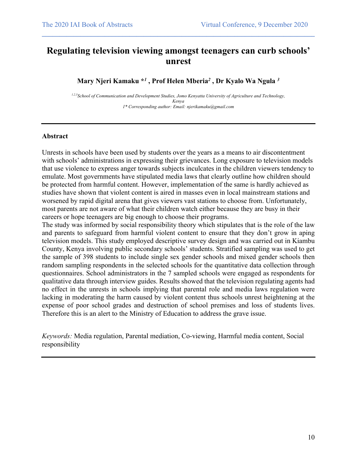### **Regulating television viewing amongst teenagers can curb schools' unrest**

 $\mathcal{L}_\mathcal{L} = \{ \mathcal{L}_\mathcal{L} = \{ \mathcal{L}_\mathcal{L} = \{ \mathcal{L}_\mathcal{L} = \{ \mathcal{L}_\mathcal{L} = \{ \mathcal{L}_\mathcal{L} = \{ \mathcal{L}_\mathcal{L} = \{ \mathcal{L}_\mathcal{L} = \{ \mathcal{L}_\mathcal{L} = \{ \mathcal{L}_\mathcal{L} = \{ \mathcal{L}_\mathcal{L} = \{ \mathcal{L}_\mathcal{L} = \{ \mathcal{L}_\mathcal{L} = \{ \mathcal{L}_\mathcal{L} = \{ \mathcal{L}_\mathcal{$ 

**Mary Njeri Kamaku \****<sup>1</sup>* **, Prof Helen Mberia***<sup>2</sup>* **, Dr Kyalo Wa Ngula** *<sup>3</sup>*

*1,2,3School of Communication and Development Studies, Jomo Kenyatta University of Agriculture and Technology, Kenya 1\* Corresponding author: Email: njerikamaku@gmail.com* 

#### **Abstract**

Unrests in schools have been used by students over the years as a means to air discontentment with schools' administrations in expressing their grievances. Long exposure to television models that use violence to express anger towards subjects inculcates in the children viewers tendency to emulate. Most governments have stipulated media laws that clearly outline how children should be protected from harmful content. However, implementation of the same is hardly achieved as studies have shown that violent content is aired in masses even in local mainstream stations and worsened by rapid digital arena that gives viewers vast stations to choose from. Unfortunately, most parents are not aware of what their children watch either because they are busy in their careers or hope teenagers are big enough to choose their programs.

The study was informed by social responsibility theory which stipulates that is the role of the law and parents to safeguard from harmful violent content to ensure that they don't grow in aping television models. This study employed descriptive survey design and was carried out in Kiambu County, Kenya involving public secondary schools' students. Stratified sampling was used to get the sample of 398 students to include single sex gender schools and mixed gender schools then random sampling respondents in the selected schools for the quantitative data collection through questionnaires. School administrators in the 7 sampled schools were engaged as respondents for qualitative data through interview guides. Results showed that the television regulating agents had no effect in the unrests in schools implying that parental role and media laws regulation were lacking in moderating the harm caused by violent content thus schools unrest heightening at the expense of poor school grades and destruction of school premises and loss of students lives. Therefore this is an alert to the Ministry of Education to address the grave issue.

*Keywords:* Media regulation, Parental mediation, Co-viewing, Harmful media content, Social responsibility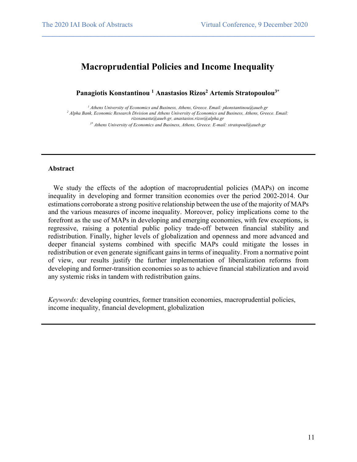### **Macroprudential Policies and Income Inequality**

 $\mathcal{L}_\mathcal{L} = \{ \mathcal{L}_\mathcal{L} = \{ \mathcal{L}_\mathcal{L} = \{ \mathcal{L}_\mathcal{L} = \{ \mathcal{L}_\mathcal{L} = \{ \mathcal{L}_\mathcal{L} = \{ \mathcal{L}_\mathcal{L} = \{ \mathcal{L}_\mathcal{L} = \{ \mathcal{L}_\mathcal{L} = \{ \mathcal{L}_\mathcal{L} = \{ \mathcal{L}_\mathcal{L} = \{ \mathcal{L}_\mathcal{L} = \{ \mathcal{L}_\mathcal{L} = \{ \mathcal{L}_\mathcal{L} = \{ \mathcal{L}_\mathcal{$ 

**Panagiotis Konstantinou 1 Anastasios Rizos2 Artemis Stratopoulou3\***

*<sup>1</sup> Athens University of Economics and Business, Athens, Greece. Email: pkonstantinou@aueb.gr <sup>2</sup> Alpha Bank, Economic Research Division and Athens University of Economics and Business, Athens, Greece. Email: rizosanasta@aueb.gr, anastasios.rizos@alpha.gr*

*3\* Athens University of Economics and Business, Athens, Greece. E-mail: stratopoul@aueb.gr*

#### **Abstract**

We study the effects of the adoption of macroprudential policies (MAPs) on income inequality in developing and former transition economies over the period 2002-2014. Our estimations corroborate a strong positive relationship between the use of the majority of MAPs and the various measures of income inequality. Moreover, policy implications come to the forefront as the use of MAPs in developing and emerging economies, with few exceptions, is regressive, raising a potential public policy trade-off between financial stability and redistribution. Finally, higher levels of globalization and openness and more advanced and deeper financial systems combined with specific MAPs could mitigate the losses in redistribution or even generate significant gains in terms of inequality. From a normative point of view, our results justify the further implementation of liberalization reforms from developing and former-transition economies so as to achieve financial stabilization and avoid any systemic risks in tandem with redistribution gains.

*Keywords:* developing countries, former transition economies, macroprudential policies, income inequality, financial development, globalization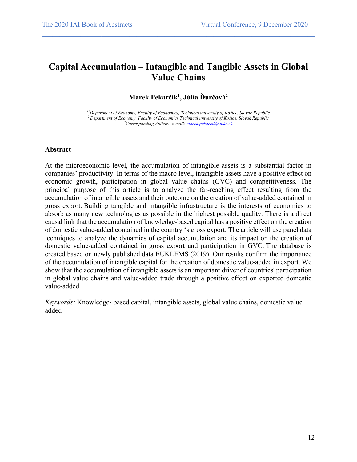## **Capital Accumulation – Intangible and Tangible Assets in Global Value Chains**

 $\mathcal{L}_\mathcal{L} = \{ \mathcal{L}_\mathcal{L} = \{ \mathcal{L}_\mathcal{L} = \{ \mathcal{L}_\mathcal{L} = \{ \mathcal{L}_\mathcal{L} = \{ \mathcal{L}_\mathcal{L} = \{ \mathcal{L}_\mathcal{L} = \{ \mathcal{L}_\mathcal{L} = \{ \mathcal{L}_\mathcal{L} = \{ \mathcal{L}_\mathcal{L} = \{ \mathcal{L}_\mathcal{L} = \{ \mathcal{L}_\mathcal{L} = \{ \mathcal{L}_\mathcal{L} = \{ \mathcal{L}_\mathcal{L} = \{ \mathcal{L}_\mathcal{$ 

#### **Marek.Pekarčík1 , Júlia.Ďurčová2**

*1\*Department of Economy, Faculty of Economics, Technical university of Košice, Slovak Republic 2 Department of Economy, Faculty of Economics Technical university of Košice, Slovak Republic \* Corresponding Author: e-mail: marek.pekarcik@tuke.sk*

#### **Abstract**

At the microeconomic level, the accumulation of intangible assets is a substantial factor in companies' productivity. In terms of the macro level, intangible assets have a positive effect on economic growth, participation in global value chains (GVC) and competitiveness. The principal purpose of this article is to analyze the far-reaching effect resulting from the accumulation of intangible assets and their outcome on the creation of value-added contained in gross export. Building tangible and intangible infrastructure is the interests of economies to absorb as many new technologies as possible in the highest possible quality. There is a direct causal link that the accumulation of knowledge-based capital has a positive effect on the creation of domestic value-added contained in the country 's gross export. The article will use panel data techniques to analyze the dynamics of capital accumulation and its impact on the creation of domestic value-added contained in gross export and participation in GVC. The database is created based on newly published data EUKLEMS (2019). Our results confirm the importance of the accumulation of intangible capital for the creation of domestic value-added in export. We show that the accumulation of intangible assets is an important driver of countries' participation in global value chains and value-added trade through a positive effect on exported domestic value-added.

*Keywords:* Knowledge- based capital, intangible assets, global value chains, domestic value added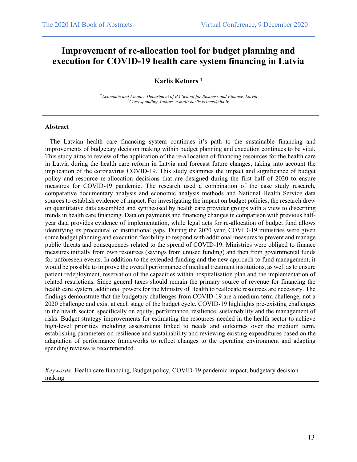### **Improvement of re-allocation tool for budget planning and execution for COVID-19 health care system financing in Latvia**

 $\mathcal{L}_\mathcal{L} = \{ \mathcal{L}_\mathcal{L} = \{ \mathcal{L}_\mathcal{L} = \{ \mathcal{L}_\mathcal{L} = \{ \mathcal{L}_\mathcal{L} = \{ \mathcal{L}_\mathcal{L} = \{ \mathcal{L}_\mathcal{L} = \{ \mathcal{L}_\mathcal{L} = \{ \mathcal{L}_\mathcal{L} = \{ \mathcal{L}_\mathcal{L} = \{ \mathcal{L}_\mathcal{L} = \{ \mathcal{L}_\mathcal{L} = \{ \mathcal{L}_\mathcal{L} = \{ \mathcal{L}_\mathcal{L} = \{ \mathcal{L}_\mathcal{$ 

#### **Karlis Ketners 1**

*1\*Economic and Finance Department of BA School for Business and Finance, Latvia \* Corresponding Author: e-mail: karlis.ketners@ba.lv*

#### **Abstract**

 The Latvian health care financing system continues it's path to the sustainable financing and improvements of budgetary decision making within budget planning and execution continues to be vital. This study aims to review of the application of the re-allocation of financing resources for the health care in Latvia during the health care reform in Latvia and forecast future changes, taking into account the implication of the coronavirus COVID-19. This study examines the impact and significance of budget policy and resource re-allocation decisions that are designed during the first half of 2020 to ensure measures for COVID-19 pandemic. The research used a combination of the case study research, comparative documentary analysis and economic analysis methods and National Health Service data sources to establish evidence of impact. For investigating the impact on budget policies, the research drew on quantitative data assembled and synthesised by health care provider groups with a view to discerning trends in health care financing. Data on payments and financing changes in comparison with previous halfyear data provides evidence of implementation, while legal acts for re-allocation of budget fund allows identifying its procedural or institutional gaps. During the 2020 year, COVID-19 ministries were given some budget planning and execution flexibility to respond with additional measures to prevent and manage public threats and consequences related to the spread of COVID-19. Ministries were obliged to finance measures initially from own resources (savings from unused funding) and then from governmental funds for unforeseen events. In addition to the extended funding and the new approach to fund management, it would be possible to improve the overall performance of medical treatment institutions, as well as to ensure patient redeployment, reservation of the capacities within hospitalisation plan and the implementation of related restrictions. Since general taxes should remain the primary source of revenue for financing the health care system, additional powers for the Ministry of Health to reallocate resources are necessary. The findings demonstrate that the budgetary challenges from COVID-19 are a medium-term challenge, not a 2020 challenge and exist at each stage of the budget cycle. COVID-19 highlights pre-existing challenges in the health sector, specifically on equity, performance, resilience, sustainability and the management of risks. Budget strategy improvements for estimating the resources needed in the health sector to achieve high-level priorities including assessments linked to needs and outcomes over the medium term, establishing parameters on resilience and sustainability and reviewing existing expenditures based on the adaptation of performance frameworks to reflect changes to the operating environment and adapting spending reviews is recommended.

*Keywords:* Health care financing, Budget policy, COVID-19 pandemic impact, budgetary decision making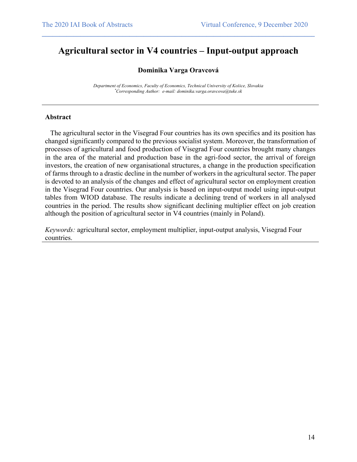## **Agricultural sector in V4 countries – Input-output approach**

 $\mathcal{L}_\mathcal{L} = \{ \mathcal{L}_\mathcal{L} = \{ \mathcal{L}_\mathcal{L} = \{ \mathcal{L}_\mathcal{L} = \{ \mathcal{L}_\mathcal{L} = \{ \mathcal{L}_\mathcal{L} = \{ \mathcal{L}_\mathcal{L} = \{ \mathcal{L}_\mathcal{L} = \{ \mathcal{L}_\mathcal{L} = \{ \mathcal{L}_\mathcal{L} = \{ \mathcal{L}_\mathcal{L} = \{ \mathcal{L}_\mathcal{L} = \{ \mathcal{L}_\mathcal{L} = \{ \mathcal{L}_\mathcal{L} = \{ \mathcal{L}_\mathcal{$ 

#### **Dominika Varga Oravcová**

*Department of Economics, Faculty of Economics, Technical University of Košice, Slovakia \* Corresponding Author: e-mail: dominika.varga.oravcova@tuke.sk*

#### **Abstract**

 The agricultural sector in the Visegrad Four countries has its own specifics and its position has changed significantly compared to the previous socialist system. Moreover, the transformation of processes of agricultural and food production of Visegrad Four countries brought many changes in the area of the material and production base in the agri-food sector, the arrival of foreign investors, the creation of new organisational structures, a change in the production specification of farms through to a drastic decline in the number of workers in the agricultural sector. The paper is devoted to an analysis of the changes and effect of agricultural sector on employment creation in the Visegrad Four countries. Our analysis is based on input-output model using input-output tables from WIOD database. The results indicate a declining trend of workers in all analysed countries in the period. The results show significant declining multiplier effect on job creation although the position of agricultural sector in V4 countries (mainly in Poland).

*Keywords:* agricultural sector, employment multiplier, input-output analysis, Visegrad Four countries.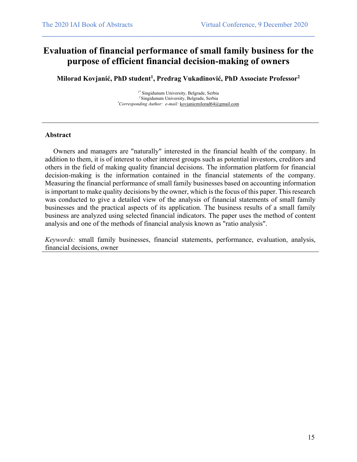### **Evaluation of financial performance of small family business for the purpose of efficient financial decision-making of owners**

 $\mathcal{L}_\mathcal{L} = \{ \mathcal{L}_\mathcal{L} = \{ \mathcal{L}_\mathcal{L} = \{ \mathcal{L}_\mathcal{L} = \{ \mathcal{L}_\mathcal{L} = \{ \mathcal{L}_\mathcal{L} = \{ \mathcal{L}_\mathcal{L} = \{ \mathcal{L}_\mathcal{L} = \{ \mathcal{L}_\mathcal{L} = \{ \mathcal{L}_\mathcal{L} = \{ \mathcal{L}_\mathcal{L} = \{ \mathcal{L}_\mathcal{L} = \{ \mathcal{L}_\mathcal{L} = \{ \mathcal{L}_\mathcal{L} = \{ \mathcal{L}_\mathcal{$ 

**Milorad Kovjanić, PhD student1 , Predrag Vukadinović, PhD Associate Professor2**

*1\** Singidunum University, Belgrade, Serbia *<sup>2</sup>*Singidunum University, Belgrade, Serbia *\* Corresponding Author: e-mail:* kovjanicmilorad64@gmail.com

#### **Abstract**

Owners and managers are "naturally" interested in the financial health of the company. In addition to them, it is of interest to other interest groups such as potential investors, creditors and others in the field of making quality financial decisions. The information platform for financial decision-making is the information contained in the financial statements of the company. Measuring the financial performance of small family businesses based on accounting information is important to make quality decisions by the owner, which is the focus of this paper. This research was conducted to give a detailed view of the analysis of financial statements of small family businesses and the practical aspects of its application. The business results of a small family business are analyzed using selected financial indicators. The paper uses the method of content analysis and one of the methods of financial analysis known as "ratio analysis".

*Keywords:* small family businesses, financial statements, performance, evaluation, analysis, financial decisions, owner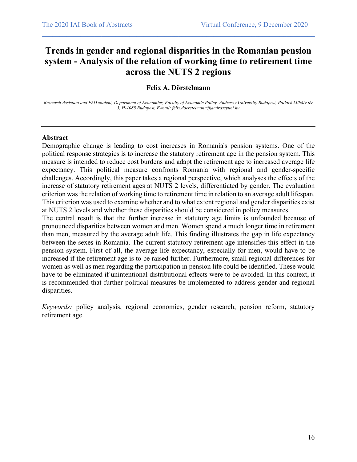## **Trends in gender and regional disparities in the Romanian pension system - Analysis of the relation of working time to retirement time across the NUTS 2 regions**

 $\mathcal{L}_\mathcal{L} = \{ \mathcal{L}_\mathcal{L} = \{ \mathcal{L}_\mathcal{L} = \{ \mathcal{L}_\mathcal{L} = \{ \mathcal{L}_\mathcal{L} = \{ \mathcal{L}_\mathcal{L} = \{ \mathcal{L}_\mathcal{L} = \{ \mathcal{L}_\mathcal{L} = \{ \mathcal{L}_\mathcal{L} = \{ \mathcal{L}_\mathcal{L} = \{ \mathcal{L}_\mathcal{L} = \{ \mathcal{L}_\mathcal{L} = \{ \mathcal{L}_\mathcal{L} = \{ \mathcal{L}_\mathcal{L} = \{ \mathcal{L}_\mathcal{$ 

#### **Felix A. Dörstelmann**

*Research Assistant and PhD student, Department of Economics, Faculty of Economic Policy, Andrássy University Budapest, Pollack Mihály tér 3, H-1088 Budapest, E-mail: felix.doerstelmann@andrassyuni.hu*

#### **Abstract**

Demographic change is leading to cost increases in Romania's pension systems. One of the political response strategies is to increase the statutory retirement age in the pension system. This measure is intended to reduce cost burdens and adapt the retirement age to increased average life expectancy. This political measure confronts Romania with regional and gender-specific challenges. Accordingly, this paper takes a regional perspective, which analyses the effects of the increase of statutory retirement ages at NUTS 2 levels, differentiated by gender. The evaluation criterion was the relation of working time to retirement time in relation to an average adult lifespan. This criterion was used to examine whether and to what extent regional and gender disparities exist at NUTS 2 levels and whether these disparities should be considered in policy measures.

The central result is that the further increase in statutory age limits is unfounded because of pronounced disparities between women and men. Women spend a much longer time in retirement than men, measured by the average adult life. This finding illustrates the gap in life expectancy between the sexes in Romania. The current statutory retirement age intensifies this effect in the pension system. First of all, the average life expectancy, especially for men, would have to be increased if the retirement age is to be raised further. Furthermore, small regional differences for women as well as men regarding the participation in pension life could be identified. These would have to be eliminated if unintentional distributional effects were to be avoided. In this context, it is recommended that further political measures be implemented to address gender and regional disparities.

*Keywords:* policy analysis, regional economics, gender research, pension reform, statutory retirement age.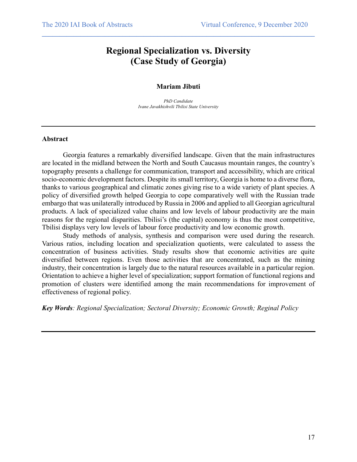### **Regional Specialization vs. Diversity (Case Study of Georgia)**

 $\mathcal{L}_\mathcal{L} = \{ \mathcal{L}_\mathcal{L} = \{ \mathcal{L}_\mathcal{L} = \{ \mathcal{L}_\mathcal{L} = \{ \mathcal{L}_\mathcal{L} = \{ \mathcal{L}_\mathcal{L} = \{ \mathcal{L}_\mathcal{L} = \{ \mathcal{L}_\mathcal{L} = \{ \mathcal{L}_\mathcal{L} = \{ \mathcal{L}_\mathcal{L} = \{ \mathcal{L}_\mathcal{L} = \{ \mathcal{L}_\mathcal{L} = \{ \mathcal{L}_\mathcal{L} = \{ \mathcal{L}_\mathcal{L} = \{ \mathcal{L}_\mathcal{$ 

#### **Mariam Jibuti**

*PhD Candidate Ivane Javakhishvili Tbilisi State University*

#### **Abstract**

Georgia features a remarkably diversified landscape. Given that the main infrastructures are located in the midland between the North and South Caucasus mountain ranges, the country's topography presents a challenge for communication, transport and accessibility, which are critical socio-economic development factors. Despite its small territory, Georgia is home to a diverse flora, thanks to various geographical and climatic zones giving rise to a wide variety of plant species. A policy of diversified growth helped Georgia to cope comparatively well with the Russian trade embargo that was unilaterally introduced by Russia in 2006 and applied to all Georgian agricultural products. A lack of specialized value chains and low levels of labour productivity are the main reasons for the regional disparities. Tbilisi's (the capital) economy is thus the most competitive, Tbilisi displays very low levels of labour force productivity and low economic growth.

Study methods of analysis, synthesis and comparison were used during the research. Various ratios, including location and specialization quotients, were calculated to assess the concentration of business activities. Study results show that economic activities are quite diversified between regions. Even those activities that are concentrated, such as the mining industry, their concentration is largely due to the natural resources available in a particular region. Orientation to achieve a higher level of specialization; support formation of functional regions and promotion of clusters were identified among the main recommendations for improvement of effectiveness of regional policy.

*Key Words: Regional Specialization; Sectoral Diversity; Economic Growth; Reginal Policy*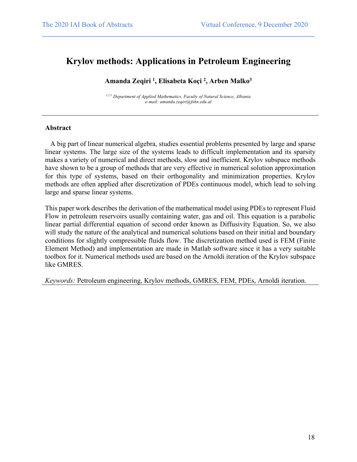### **Krylov methods: Applications in Petroleum Engineering**

 $\mathcal{L}_\mathcal{L} = \{ \mathcal{L}_\mathcal{L} = \{ \mathcal{L}_\mathcal{L} = \{ \mathcal{L}_\mathcal{L} = \{ \mathcal{L}_\mathcal{L} = \{ \mathcal{L}_\mathcal{L} = \{ \mathcal{L}_\mathcal{L} = \{ \mathcal{L}_\mathcal{L} = \{ \mathcal{L}_\mathcal{L} = \{ \mathcal{L}_\mathcal{L} = \{ \mathcal{L}_\mathcal{L} = \{ \mathcal{L}_\mathcal{L} = \{ \mathcal{L}_\mathcal{L} = \{ \mathcal{L}_\mathcal{L} = \{ \mathcal{L}_\mathcal{$ 

#### **Amanda Zeqiri 1 , Elisabeta Koçi 2 , Arben Malko3**

*1,2,3 Department of Applied Mathematics, Faculty of Natural Science, Albania e-mail: amanda.zeqiri@fshn.edu.al*

#### **Abstract**

 A big part of linear numerical algebra, studies essential problems presented by large and sparse linear systems. The large size of the systems leads to difficult implementation and its sparsity makes a variety of numerical and direct methods, slow and inefficient. Krylov subspace methods have shown to be a group of methods that are very effective in numerical solution approximation for this type of systems, based on their orthogonality and minimization properties. Krylov methods are often applied after discretization of PDEs continuous model, which lead to solving large and sparse linear systems.

This paper work describes the derivation of the mathematical model using PDEs to represent Fluid Flow in petroleum reservoirs usually containing water, gas and oil. This equation is a parabolic linear partial differential equation of second order known as Diffusivity Equation. So, we also will study the nature of the analytical and numerical solutions based on their initial and boundary conditions for slightly compressible fluids flow. The discretization method used is FEM (Finite Element Method) and implementation are made in Matlab software since it has a very suitable toolbox for it. Numerical methods used are based on the Arnoldi iteration of the Krylov subspace like GMRES.

*Keywords:* Petroleum engineering, Krylov methods, GMRES, FEM, PDEs, Arnoldi iteration.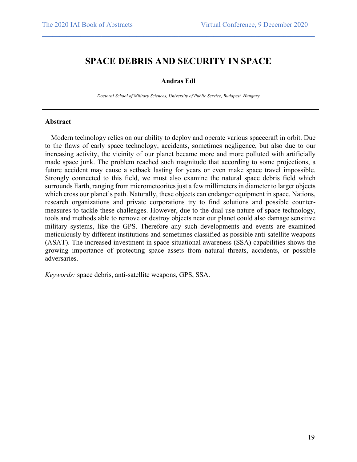### **SPACE DEBRIS AND SECURITY IN SPACE**

 $\mathcal{L}_\mathcal{L} = \{ \mathcal{L}_\mathcal{L} = \{ \mathcal{L}_\mathcal{L} = \{ \mathcal{L}_\mathcal{L} = \{ \mathcal{L}_\mathcal{L} = \{ \mathcal{L}_\mathcal{L} = \{ \mathcal{L}_\mathcal{L} = \{ \mathcal{L}_\mathcal{L} = \{ \mathcal{L}_\mathcal{L} = \{ \mathcal{L}_\mathcal{L} = \{ \mathcal{L}_\mathcal{L} = \{ \mathcal{L}_\mathcal{L} = \{ \mathcal{L}_\mathcal{L} = \{ \mathcal{L}_\mathcal{L} = \{ \mathcal{L}_\mathcal{$ 

#### **Andras Edl**

*Doctoral School of Military Sciences, University of Public Service, Budapest, Hungary*

#### **Abstract**

Modern technology relies on our ability to deploy and operate various spacecraft in orbit. Due to the flaws of early space technology, accidents, sometimes negligence, but also due to our increasing activity, the vicinity of our planet became more and more polluted with artificially made space junk. The problem reached such magnitude that according to some projections, a future accident may cause a setback lasting for years or even make space travel impossible. Strongly connected to this field, we must also examine the natural space debris field which surrounds Earth, ranging from micrometeorites just a few millimeters in diameter to larger objects which cross our planet's path. Naturally, these objects can endanger equipment in space. Nations, research organizations and private corporations try to find solutions and possible countermeasures to tackle these challenges. However, due to the dual-use nature of space technology, tools and methods able to remove or destroy objects near our planet could also damage sensitive military systems, like the GPS. Therefore any such developments and events are examined meticulously by different institutions and sometimes classified as possible anti-satellite weapons (ASAT). The increased investment in space situational awareness (SSA) capabilities shows the growing importance of protecting space assets from natural threats, accidents, or possible adversaries.

*Keywords:* space debris, anti-satellite weapons, GPS, SSA.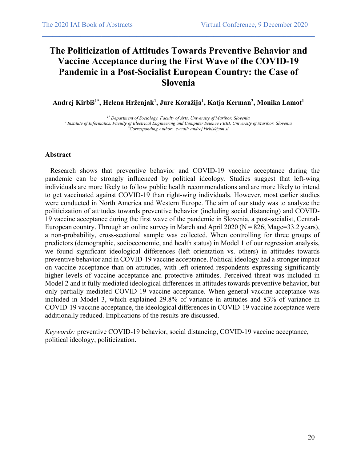## **The Politicization of Attitudes Towards Preventive Behavior and Vaccine Acceptance during the First Wave of the COVID-19 Pandemic in a Post-Socialist European Country: the Case of Slovenia**

 $\mathcal{L}_\mathcal{L} = \{ \mathcal{L}_\mathcal{L} = \{ \mathcal{L}_\mathcal{L} = \{ \mathcal{L}_\mathcal{L} = \{ \mathcal{L}_\mathcal{L} = \{ \mathcal{L}_\mathcal{L} = \{ \mathcal{L}_\mathcal{L} = \{ \mathcal{L}_\mathcal{L} = \{ \mathcal{L}_\mathcal{L} = \{ \mathcal{L}_\mathcal{L} = \{ \mathcal{L}_\mathcal{L} = \{ \mathcal{L}_\mathcal{L} = \{ \mathcal{L}_\mathcal{L} = \{ \mathcal{L}_\mathcal{L} = \{ \mathcal{L}_\mathcal{$ 

**Andrej Kirbiš1\*, Helena Hrženjak1 , Jure Koražija1 , Katja Kerman2 , Monika Lamot1**

*1\* Department of Sociology, Faculty of Arts, University of Maribor, Slovenia 2 Institute of Informatics, Faculty of Electrical Engineering and Computer Science FERI, University of Maribor, Slovenia \* Corresponding Author: e-mail: andrej.kirbis@um.si*

#### **Abstract**

 Research shows that preventive behavior and COVID-19 vaccine acceptance during the pandemic can be strongly influenced by political ideology. Studies suggest that left-wing individuals are more likely to follow public health recommendations and are more likely to intend to get vaccinated against COVID-19 than right-wing individuals. However, most earlier studies were conducted in North America and Western Europe. The aim of our study was to analyze the politicization of attitudes towards preventive behavior (including social distancing) and COVID-19 vaccine acceptance during the first wave of the pandemic in Slovenia, a post-socialist, Central-European country. Through an online survey in March and April 2020 ( $N = 826$ ; Mage=33.2 years), a non-probability, cross-sectional sample was collected. When controlling for three groups of predictors (demographic, socioeconomic, and health status) in Model 1 of our regression analysis, we found significant ideological differences (left orientation vs. others) in attitudes towards preventive behavior and in COVID-19 vaccine acceptance. Political ideology had a stronger impact on vaccine acceptance than on attitudes, with left-oriented respondents expressing significantly higher levels of vaccine acceptance and protective attitudes. Perceived threat was included in Model 2 and it fully mediated ideological differences in attitudes towards preventive behavior, but only partially mediated COVID-19 vaccine acceptance. When general vaccine acceptance was included in Model 3, which explained 29.8% of variance in attitudes and 83% of variance in COVID-19 vaccine acceptance, the ideological differences in COVID-19 vaccine acceptance were additionally reduced. Implications of the results are discussed.

*Keywords:* preventive COVID-19 behavior, social distancing, COVID-19 vaccine acceptance, political ideology, politicization.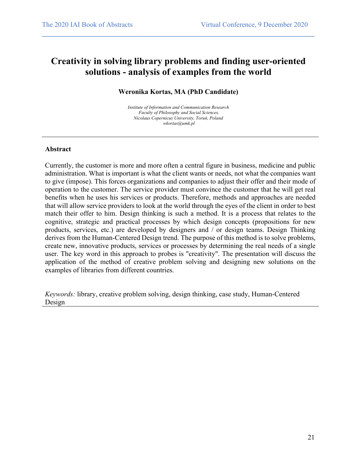## **Creativity in solving library problems and finding user-oriented solutions - analysis of examples from the world**

 $\mathcal{L}_\mathcal{L} = \{ \mathcal{L}_\mathcal{L} = \{ \mathcal{L}_\mathcal{L} = \{ \mathcal{L}_\mathcal{L} = \{ \mathcal{L}_\mathcal{L} = \{ \mathcal{L}_\mathcal{L} = \{ \mathcal{L}_\mathcal{L} = \{ \mathcal{L}_\mathcal{L} = \{ \mathcal{L}_\mathcal{L} = \{ \mathcal{L}_\mathcal{L} = \{ \mathcal{L}_\mathcal{L} = \{ \mathcal{L}_\mathcal{L} = \{ \mathcal{L}_\mathcal{L} = \{ \mathcal{L}_\mathcal{L} = \{ \mathcal{L}_\mathcal{$ 

#### **Weronika Kortas, MA (PhD Candidate)**

*Institute of Information and Communication Research Faculty of Philosophy and Social Sciences, Nicolaus Copernicus University, Toruń, Poland wkortas@umk.pl*

#### **Abstract**

Currently, the customer is more and more often a central figure in business, medicine and public administration. What is important is what the client wants or needs, not what the companies want to give (impose). This forces organizations and companies to adjust their offer and their mode of operation to the customer. The service provider must convince the customer that he will get real benefits when he uses his services or products. Therefore, methods and approaches are needed that will allow service providers to look at the world through the eyes of the client in order to best match their offer to him. Design thinking is such a method. It is a process that relates to the cognitive, strategic and practical processes by which design concepts (propositions for new products, services, etc.) are developed by designers and / or design teams. Design Thinking derives from the Human-Centered Design trend. The purpose of this method is to solve problems, create new, innovative products, services or processes by determining the real needs of a single user. The key word in this approach to probes is "creativity". The presentation will discuss the application of the method of creative problem solving and designing new solutions on the examples of libraries from different countries.

*Keywords:* library, creative problem solving, design thinking, case study, Human-Centered Design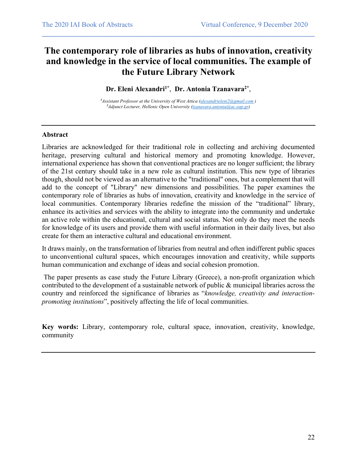## **The contemporary role of libraries as hubs of innovation, creativity and knowledge in the service of local communities. The example of the Future Library Network**

 $\mathcal{L}_\mathcal{L} = \{ \mathcal{L}_\mathcal{L} = \{ \mathcal{L}_\mathcal{L} = \{ \mathcal{L}_\mathcal{L} = \{ \mathcal{L}_\mathcal{L} = \{ \mathcal{L}_\mathcal{L} = \{ \mathcal{L}_\mathcal{L} = \{ \mathcal{L}_\mathcal{L} = \{ \mathcal{L}_\mathcal{L} = \{ \mathcal{L}_\mathcal{L} = \{ \mathcal{L}_\mathcal{L} = \{ \mathcal{L}_\mathcal{L} = \{ \mathcal{L}_\mathcal{L} = \{ \mathcal{L}_\mathcal{L} = \{ \mathcal{L}_\mathcal{$ 

Dr. Eleni Alexandri<sup>1\*</sup>, Dr. Antonia Tzanavara<sup>2\*</sup>,

*1 Assistant Professor at the University of West Attica (alexandrieleni2@gmail.com ) 2 Adjunct Lecturer, Hellenic Open University (tzanavara.antonia@ac.eap.gr)*

#### **Abstract**

Libraries are acknowledged for their traditional role in collecting and archiving documented heritage, preserving cultural and historical memory and promoting knowledge. However, international experience has shown that conventional practices are no longer sufficient; the library of the 21st century should take in a new role as cultural institution. This new type of libraries though, should not be viewed as an alternative to the "traditional" ones, but a complement that will add to the concept of "Library" new dimensions and possibilities. The paper examines the contemporary role of libraries as hubs of innovation, creativity and knowledge in the service of local communities. Contemporary libraries redefine the mission of the "traditional" library, enhance its activities and services with the ability to integrate into the community and undertake an active role within the educational, cultural and social status. Not only do they meet the needs for knowledge of its users and provide them with useful information in their daily lives, but also create for them an interactive cultural and educational environment.

It draws mainly, on the transformation of libraries from neutral and often indifferent public spaces to unconventional cultural spaces, which encourages innovation and creativity, while supports human communication and exchange of ideas and social cohesion promotion.

The paper presents as case study the Future Library (Greece), a non-profit organization which contributed to the development of a sustainable network of public & municipal libraries across the country and reinforced the significance of libraries as "*knowledge, creativity and interactionpromoting institutions*", positively affecting the life of local communities.

**Key words:** Library, contemporary role, cultural space, innovation, creativity, knowledge, community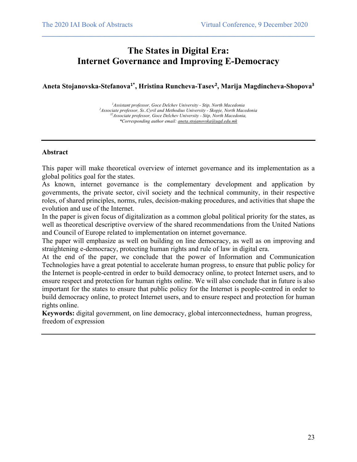### **The States in Digital Era: Internet Governance and Improving E-Democracy**

 $\mathcal{L}_\mathcal{L} = \{ \mathcal{L}_\mathcal{L} = \{ \mathcal{L}_\mathcal{L} = \{ \mathcal{L}_\mathcal{L} = \{ \mathcal{L}_\mathcal{L} = \{ \mathcal{L}_\mathcal{L} = \{ \mathcal{L}_\mathcal{L} = \{ \mathcal{L}_\mathcal{L} = \{ \mathcal{L}_\mathcal{L} = \{ \mathcal{L}_\mathcal{L} = \{ \mathcal{L}_\mathcal{L} = \{ \mathcal{L}_\mathcal{L} = \{ \mathcal{L}_\mathcal{L} = \{ \mathcal{L}_\mathcal{L} = \{ \mathcal{L}_\mathcal{$ 

**Aneta Stojanovska-Stefanova1\*, Hristina Runcheva-Tasev<sup>2</sup> , Marija Magdincheva-Shopova<sup>3</sup>**

*1 Assistant professor, Goce Delchev University - Stip, North Macedonia 2 Associate professor, Ss..Cyril and Methodius University - Skopje, North Macedonia 32 Associate professor, Goce Delchev University - Stip, North Macedonia, \*Corresponding author email: aneta.stojanovska@ugd.edu.mk*

#### **Abstract**

This paper will make theoretical overview of internet governance and its implementation as a global politics goal for the states.

As known, internet governance is the complementary development and application by governments, the private sector, civil society and the technical community, in their respective roles, of shared principles, norms, rules, decision-making procedures, and activities that shape the evolution and use of the Internet.

In the paper is given focus of digitalization as a common global political priority for the states, as well as theoretical descriptive overview of the shared recommendations from the United Nations and Council of Europe related to implementation on internet governance.

The paper will emphasize as well on building on line democracy, as well as on improving and straightening e-democracy, protecting human rights and rule of law in digital era.

At the end of the paper, we conclude that the power of Information and Communication Technologies have a great potential to accelerate human progress, to ensure that public policy for the Internet is people-centred in order to build democracy online, to protect Internet users, and to ensure respect and protection for human rights online. We will also conclude that in future is also important for the states to ensure that public policy for the Internet is people-centred in order to build democracy online, to protect Internet users, and to ensure respect and protection for human rights online.

**Keywords:** digital government, on line democracy, global interconnectedness, human progress, freedom of expression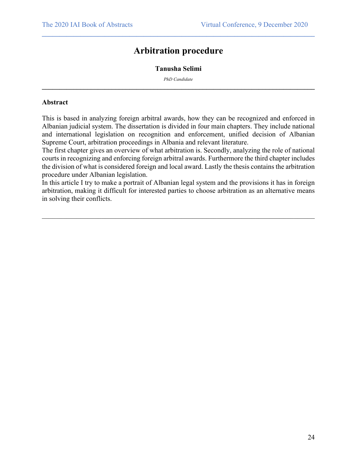### **Arbitration procedure**

 $\mathcal{L}_\mathcal{L} = \{ \mathcal{L}_\mathcal{L} = \{ \mathcal{L}_\mathcal{L} = \{ \mathcal{L}_\mathcal{L} = \{ \mathcal{L}_\mathcal{L} = \{ \mathcal{L}_\mathcal{L} = \{ \mathcal{L}_\mathcal{L} = \{ \mathcal{L}_\mathcal{L} = \{ \mathcal{L}_\mathcal{L} = \{ \mathcal{L}_\mathcal{L} = \{ \mathcal{L}_\mathcal{L} = \{ \mathcal{L}_\mathcal{L} = \{ \mathcal{L}_\mathcal{L} = \{ \mathcal{L}_\mathcal{L} = \{ \mathcal{L}_\mathcal{$ 

#### **Tanusha Selimi**

*PhD Candidate*  $\mathcal{L}_\mathcal{L} = \{ \mathcal{L}_\mathcal{L} = \{ \mathcal{L}_\mathcal{L} = \{ \mathcal{L}_\mathcal{L} = \{ \mathcal{L}_\mathcal{L} = \{ \mathcal{L}_\mathcal{L} = \{ \mathcal{L}_\mathcal{L} = \{ \mathcal{L}_\mathcal{L} = \{ \mathcal{L}_\mathcal{L} = \{ \mathcal{L}_\mathcal{L} = \{ \mathcal{L}_\mathcal{L} = \{ \mathcal{L}_\mathcal{L} = \{ \mathcal{L}_\mathcal{L} = \{ \mathcal{L}_\mathcal{L} = \{ \mathcal{L}_\mathcal{$ 

#### **Abstract**

This is based in analyzing foreign arbitral awards, how they can be recognized and enforced in Albanian judicial system. The dissertation is divided in four main chapters. They include national and international legislation on recognition and enforcement, unified decision of Albanian Supreme Court, arbitration proceedings in Albania and relevant literature.

The first chapter gives an overview of what arbitration is. Secondly, analyzing the role of national courts in recognizing and enforcing foreign arbitral awards. Furthermore the third chapter includes the division of what is considered foreign and local award. Lastly the thesis contains the arbitration procedure under Albanian legislation.

In this article I try to make a portrait of Albanian legal system and the provisions it has in foreign arbitration, making it difficult for interested parties to choose arbitration as an alternative means in solving their conflicts.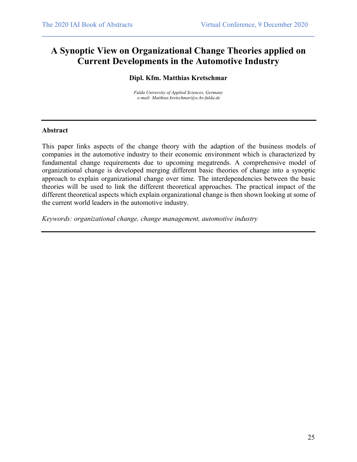### **A Synoptic View on Organizational Change Theories applied on Current Developments in the Automotive Industry**

 $\mathcal{L}_\mathcal{L} = \{ \mathcal{L}_\mathcal{L} = \{ \mathcal{L}_\mathcal{L} = \{ \mathcal{L}_\mathcal{L} = \{ \mathcal{L}_\mathcal{L} = \{ \mathcal{L}_\mathcal{L} = \{ \mathcal{L}_\mathcal{L} = \{ \mathcal{L}_\mathcal{L} = \{ \mathcal{L}_\mathcal{L} = \{ \mathcal{L}_\mathcal{L} = \{ \mathcal{L}_\mathcal{L} = \{ \mathcal{L}_\mathcal{L} = \{ \mathcal{L}_\mathcal{L} = \{ \mathcal{L}_\mathcal{L} = \{ \mathcal{L}_\mathcal{$ 

#### **Dipl. Kfm. Matthias Kretschmar**

*Fulda University of Applied Sciences, Germany e-mail: Matthias.kretschmar@w.hs-fulda.de*

#### **Abstract**

This paper links aspects of the change theory with the adaption of the business models of companies in the automotive industry to their economic environment which is characterized by fundamental change requirements due to upcoming megatrends. A comprehensive model of organizational change is developed merging different basic theories of change into a synoptic approach to explain organizational change over time*.* The interdependencies between the basic theories will be used to link the different theoretical approaches. The practical impact of the different theoretical aspects which explain organizational change is then shown looking at some of the current world leaders in the automotive industry.

*Keywords: organizational change, change management, automotive industry*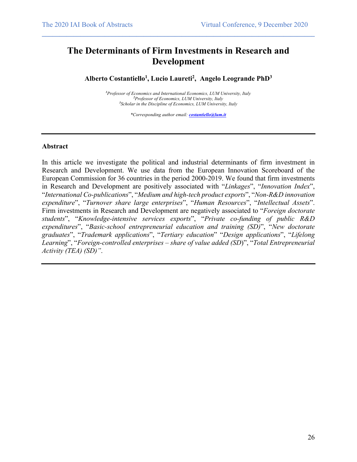### **The Determinants of Firm Investments in Research and Development**

 $\mathcal{L}_\mathcal{L} = \{ \mathcal{L}_\mathcal{L} = \{ \mathcal{L}_\mathcal{L} = \{ \mathcal{L}_\mathcal{L} = \{ \mathcal{L}_\mathcal{L} = \{ \mathcal{L}_\mathcal{L} = \{ \mathcal{L}_\mathcal{L} = \{ \mathcal{L}_\mathcal{L} = \{ \mathcal{L}_\mathcal{L} = \{ \mathcal{L}_\mathcal{L} = \{ \mathcal{L}_\mathcal{L} = \{ \mathcal{L}_\mathcal{L} = \{ \mathcal{L}_\mathcal{L} = \{ \mathcal{L}_\mathcal{L} = \{ \mathcal{L}_\mathcal{$ 

**Alberto Costantiello1 , Lucio Laureti2 , Angelo Leogrande PhD3**

*1 Professor of Economics and International Economics, LUM University, Italy 2 Professor of Economics, LUM University, Italy 3 Scholar in the Discipline of Economics, LUM University, Italy*

*\*Corresponding author email: costantiello@lum.it*

#### **Abstract**

In this article we investigate the political and industrial determinants of firm investment in Research and Development. We use data from the European Innovation Scoreboard of the European Commission for 36 countries in the period 2000-2019. We found that firm investments in Research and Development are positively associated with "*Linkages*", "*Innovation Index*", "*International Co-publications*", "*Medium and high-tech product exports*", "*Non-R&D innovation expenditure*", "*Turnover share large enterprises*", "*Human Resources*", "*Intellectual Assets*". Firm investments in Research and Development are negatively associated to "*Foreign doctorate students*", "*Knowledge-intensive services exports*", "*Private co-funding of public R&D expenditures*", "*Basic-school entrepreneurial education and training (SD)*", "*New doctorate graduates*", "*Trademark applications*", "*Tertiary education*" "*Design applications*", "*Lifelong Learning*", "*Foreign-controlled enterprises – share of value added (SD*)", "*Total Entrepreneurial Activity (TEA) (SD)"*.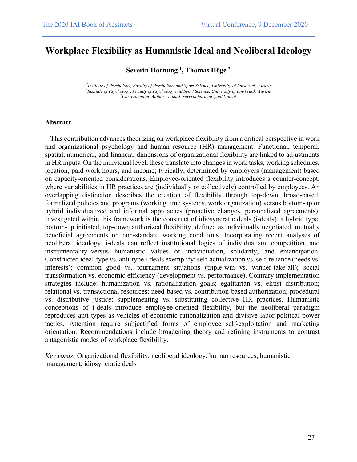### **Workplace Flexibility as Humanistic Ideal and Neoliberal Ideology**

 $\mathcal{L}_\mathcal{L} = \{ \mathcal{L}_\mathcal{L} = \{ \mathcal{L}_\mathcal{L} = \{ \mathcal{L}_\mathcal{L} = \{ \mathcal{L}_\mathcal{L} = \{ \mathcal{L}_\mathcal{L} = \{ \mathcal{L}_\mathcal{L} = \{ \mathcal{L}_\mathcal{L} = \{ \mathcal{L}_\mathcal{L} = \{ \mathcal{L}_\mathcal{L} = \{ \mathcal{L}_\mathcal{L} = \{ \mathcal{L}_\mathcal{L} = \{ \mathcal{L}_\mathcal{L} = \{ \mathcal{L}_\mathcal{L} = \{ \mathcal{L}_\mathcal{$ 

**Severin Hornung 1 , Thomas Höge 2**

*1\*Institute of Psychology, Faculty of Psychology and Sport Science, University of Innsbruck, Austria 2 Institute of Psychology, Faculty of Psychology and Sport Science, University of Innsbruck, Austria \* Corresponding Author: e-mail: severin.hornung@uibk.ac.at*

#### **Abstract**

 This contribution advances theorizing on workplace flexibility from a critical perspective in work and organizational psychology and human resource (HR) management. Functional, temporal, spatial, numerical, and financial dimensions of organizational flexibility are linked to adjustments in HR inputs. On the individual level, these translate into changes in work tasks, working schedules, location, paid work hours, and income; typically, determined by employers (management) based on capacity-oriented considerations. Employee-oriented flexibility introduces a counter-concept, where variabilities in HR practices are (individually or collectively) controlled by employees. An overlapping distinction describes the creation of flexibility through top-down, broad-based, formalized policies and programs (working time systems, work organization) versus bottom-up or hybrid individualized and informal approaches (proactive changes, personalized agreements). Investigated within this framework is the construct of idiosyncratic deals (i-deals), a hybrid type, bottom-up initiated, top-down authorized flexibility, defined as individually negotiated, mutually beneficial agreements on non-standard working conditions. Incorporating recent analyses of neoliberal ideology, i-deals can reflect institutional logics of individualism, competition, and instrumentality–versus humanistic values of individuation, solidarity, and emancipation. Constructed ideal-type vs. anti-type i-deals exemplify: self-actualization vs. self-reliance (needs vs. interests); common good vs. tournament situations (triple-win vs. winner-take-all); social transformation vs. economic efficiency (development vs. performance). Contrary implementation strategies include: humanization vs. rationalization goals; egalitarian vs. elitist distribution; relational vs. transactional resources; need-based vs. contribution-based authorization; procedural vs. distributive justice; supplementing vs. substituting collective HR practices. Humanistic conceptions of i-deals introduce employee-oriented flexibility, but the neoliberal paradigm reproduces anti-types as vehicles of economic rationalization and divisive labor-political power tactics. Attention require subjectified forms of employee self-exploitation and marketing orientation. Recommendations include broadening theory and refining instruments to contrast antagonistic modes of workplace flexibility.

*Keywords:* Organizational flexibility, neoliberal ideology, human resources, humanistic management, idiosyncratic deals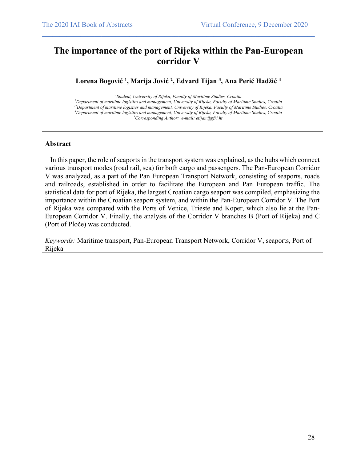### **The importance of the port of Rijeka within the Pan-European corridor V**

 $\mathcal{L}_\mathcal{L} = \{ \mathcal{L}_\mathcal{L} = \{ \mathcal{L}_\mathcal{L} = \{ \mathcal{L}_\mathcal{L} = \{ \mathcal{L}_\mathcal{L} = \{ \mathcal{L}_\mathcal{L} = \{ \mathcal{L}_\mathcal{L} = \{ \mathcal{L}_\mathcal{L} = \{ \mathcal{L}_\mathcal{L} = \{ \mathcal{L}_\mathcal{L} = \{ \mathcal{L}_\mathcal{L} = \{ \mathcal{L}_\mathcal{L} = \{ \mathcal{L}_\mathcal{L} = \{ \mathcal{L}_\mathcal{L} = \{ \mathcal{L}_\mathcal{$ 

**Lorena Bogović 1 , Marija Jović 2 , Edvard Tijan 3 , Ana Perić Hadžić 4**

*1 Student, University of Rijeka, Faculty of Maritime Studies, Croatia*

*2 Department of maritime logistics and management, University of Rijeka, Faculty of Maritime Studies, Croatia 3\*Department of maritime logistics and management, University of Rijeka, Faculty of Maritime Studies, Croatia 4 Department of maritime logistics and management, University of Rijeka, Faculty of Maritime Studies, Croatia \* Corresponding Author: e-mail: etijan@pfri.hr*

#### **Abstract**

 In this paper, the role of seaports in the transport system was explained, as the hubs which connect various transport modes (road rail, sea) for both cargo and passengers. The Pan-European Corridor V was analyzed, as a part of the Pan European Transport Network, consisting of seaports, roads and railroads, established in order to facilitate the European and Pan European traffic. The statistical data for port of Rijeka, the largest Croatian cargo seaport was compiled, emphasizing the importance within the Croatian seaport system, and within the Pan-European Corridor V. The Port of Rijeka was compared with the Ports of Venice, Trieste and Koper, which also lie at the Pan-European Corridor V. Finally, the analysis of the Corridor V branches B (Port of Rijeka) and C (Port of Ploče) was conducted.

*Keywords:* Maritime transport, Pan-European Transport Network, Corridor V, seaports, Port of Rijeka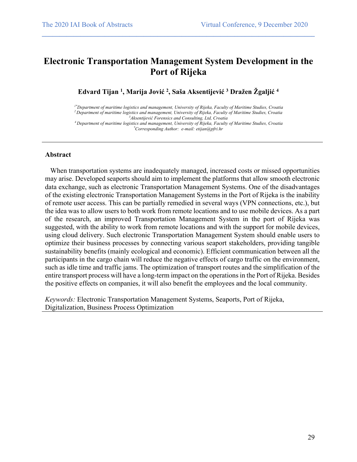### **Electronic Transportation Management System Development in the Port of Rijeka**

 $\mathcal{L}_\mathcal{L} = \{ \mathcal{L}_\mathcal{L} = \{ \mathcal{L}_\mathcal{L} = \{ \mathcal{L}_\mathcal{L} = \{ \mathcal{L}_\mathcal{L} = \{ \mathcal{L}_\mathcal{L} = \{ \mathcal{L}_\mathcal{L} = \{ \mathcal{L}_\mathcal{L} = \{ \mathcal{L}_\mathcal{L} = \{ \mathcal{L}_\mathcal{L} = \{ \mathcal{L}_\mathcal{L} = \{ \mathcal{L}_\mathcal{L} = \{ \mathcal{L}_\mathcal{L} = \{ \mathcal{L}_\mathcal{L} = \{ \mathcal{L}_\mathcal{$ 

**Edvard Tijan 1 , Marija Jović 2 , Saša Aksentijević 3 Dražen Žgaljić 4**

*1\*Department of maritime logistics and management, University of Rijeka, Faculty of Maritime Studies, Croatia 2 Department of maritime logistics and management, University of Rijeka, Faculty of Maritime Studies, Croatia 3 Aksentijević Forensics and Consulting, Ltd, Croatia*

*4 Department of maritime logistics and management, University of Rijeka, Faculty of Maritime Studies, Croatia \* Corresponding Author: e-mail: etijan@pfri.hr*

#### **Abstract**

 When transportation systems are inadequately managed, increased costs or missed opportunities may arise. Developed seaports should aim to implement the platforms that allow smooth electronic data exchange, such as electronic Transportation Management Systems. One of the disadvantages of the existing electronic Transportation Management Systems in the Port of Rijeka is the inability of remote user access. This can be partially remedied in several ways (VPN connections, etc.), but the idea was to allow users to both work from remote locations and to use mobile devices. As a part of the research, an improved Transportation Management System in the port of Rijeka was suggested, with the ability to work from remote locations and with the support for mobile devices, using cloud delivery. Such electronic Transportation Management System should enable users to optimize their business processes by connecting various seaport stakeholders, providing tangible sustainability benefits (mainly ecological and economic). Efficient communication between all the participants in the cargo chain will reduce the negative effects of cargo traffic on the environment, such as idle time and traffic jams. The optimization of transport routes and the simplification of the entire transport process will have a long-term impact on the operations in the Port of Rijeka. Besides the positive effects on companies, it will also benefit the employees and the local community.

*Keywords:* Electronic Transportation Management Systems, Seaports, Port of Rijeka, Digitalization, Business Process Optimization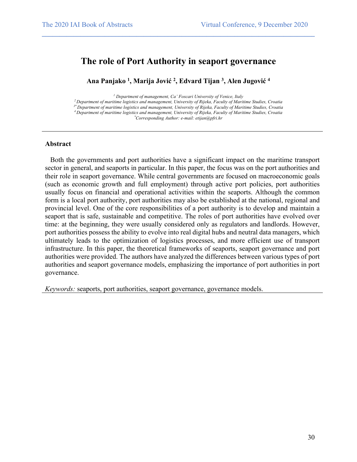### **The role of Port Authority in seaport governance**

 $\mathcal{L}_\mathcal{L} = \{ \mathcal{L}_\mathcal{L} = \{ \mathcal{L}_\mathcal{L} = \{ \mathcal{L}_\mathcal{L} = \{ \mathcal{L}_\mathcal{L} = \{ \mathcal{L}_\mathcal{L} = \{ \mathcal{L}_\mathcal{L} = \{ \mathcal{L}_\mathcal{L} = \{ \mathcal{L}_\mathcal{L} = \{ \mathcal{L}_\mathcal{L} = \{ \mathcal{L}_\mathcal{L} = \{ \mathcal{L}_\mathcal{L} = \{ \mathcal{L}_\mathcal{L} = \{ \mathcal{L}_\mathcal{L} = \{ \mathcal{L}_\mathcal{$ 

**Ana Panjako 1 , Marija Jović 2 , Edvard Tijan 3 , Alen Jugović 4**

*<sup>1</sup> Department of management, Ca' Foscari University of Venice, Italy*

*2 Department of maritime logistics and management, University of Rijeka, Faculty of Maritime Studies, Croatia*

*3\* Department of maritime logistics and management, University of Rijeka, Faculty of Maritime Studies, Croatia*

*4 Department of maritime logistics and management, University of Rijeka, Faculty of Maritime Studies, Croatia*

*\* Corresponding Author: e-mail: etijan@pfri.hr*

#### **Abstract**

 Both the governments and port authorities have a significant impact on the maritime transport sector in general, and seaports in particular. In this paper, the focus was on the port authorities and their role in seaport governance. While central governments are focused on macroeconomic goals (such as economic growth and full employment) through active port policies, port authorities usually focus on financial and operational activities within the seaports. Although the common form is a local port authority, port authorities may also be established at the national, regional and provincial level. One of the core responsibilities of a port authority is to develop and maintain a seaport that is safe, sustainable and competitive. The roles of port authorities have evolved over time: at the beginning, they were usually considered only as regulators and landlords. However, port authorities possess the ability to evolve into real digital hubs and neutral data managers, which ultimately leads to the optimization of logistics processes, and more efficient use of transport infrastructure. In this paper, the theoretical frameworks of seaports, seaport governance and port authorities were provided. The authors have analyzed the differences between various types of port authorities and seaport governance models, emphasizing the importance of port authorities in port governance.

*Keywords:* seaports, port authorities, seaport governance, governance models.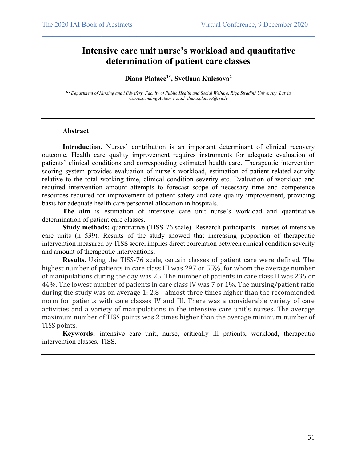### **Intensive care unit nurse's workload and quantitative determination of patient care classes**

#### **Diana Platace1\* , Svetlana Kulesova2**

 $\mathcal{L}_\mathcal{L} = \{ \mathcal{L}_\mathcal{L} = \{ \mathcal{L}_\mathcal{L} = \{ \mathcal{L}_\mathcal{L} = \{ \mathcal{L}_\mathcal{L} = \{ \mathcal{L}_\mathcal{L} = \{ \mathcal{L}_\mathcal{L} = \{ \mathcal{L}_\mathcal{L} = \{ \mathcal{L}_\mathcal{L} = \{ \mathcal{L}_\mathcal{L} = \{ \mathcal{L}_\mathcal{L} = \{ \mathcal{L}_\mathcal{L} = \{ \mathcal{L}_\mathcal{L} = \{ \mathcal{L}_\mathcal{L} = \{ \mathcal{L}_\mathcal{$ 

*1, 2 Department of Nursing and Midwifery, Faculty of Public Health and Social Welfare, Rīga Stradiņš University, Latvia Corresponding Author e-mail: diana.platace@rsu.lv*

#### **Abstract**

Introduction. Nurses' contribution is an important determinant of clinical recovery outcome. Health care quality improvement requires instruments for adequate evaluation of patients' clinical conditions and corresponding estimated health care. Therapeutic intervention scoring system provides evaluation of nurse's workload, estimation of patient related activity relative to the total working time, clinical condition severity etc. Evaluation of workload and required intervention amount attempts to forecast scope of necessary time and competence resources required for improvement of patient safety and care quality improvement, providing basis for adequate health care personnel allocation in hospitals.

**The aim** is estimation of intensive care unit nurse's workload and quantitative determination of patient care classes.

**Study methods:** quantitative (TISS-76 scale). Research participants - nurses of intensive care units (n=539). Results of the study showed that increasing proportion of therapeutic intervention measured by TISS score, implies direct correlation between clinical condition severity and amount of therapeutic interventions.

**Results.** Using the TISS-76 scale, certain classes of patient care were defined. The highest number of patients in care class III was 297 or 55%, for whom the average number of manipulations during the day was 25. The number of patients in care class II was 235 or 44%. The lowest number of patients in care class IV was 7 or 1%. The nursing/patient ratio during the study was on average 1: 2.8 - almost three times higher than the recommended norm for patients with care classes IV and III. There was a considerable variety of care activities and a variety of manipulations in the intensive care unit's nurses. The average maximum number of TISS points was 2 times higher than the average minimum number of TISS points.

**Keywords:** intensive care unit, nurse, critically ill patients, workload, therapeutic intervention classes, TISS.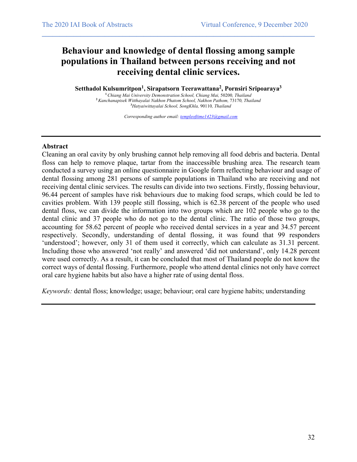## **Behaviour and knowledge of dental flossing among sample populations in Thailand between persons receiving and not receiving dental clinic services.**

 $\mathcal{L}_\mathcal{L} = \{ \mathcal{L}_\mathcal{L} = \{ \mathcal{L}_\mathcal{L} = \{ \mathcal{L}_\mathcal{L} = \{ \mathcal{L}_\mathcal{L} = \{ \mathcal{L}_\mathcal{L} = \{ \mathcal{L}_\mathcal{L} = \{ \mathcal{L}_\mathcal{L} = \{ \mathcal{L}_\mathcal{L} = \{ \mathcal{L}_\mathcal{L} = \{ \mathcal{L}_\mathcal{L} = \{ \mathcal{L}_\mathcal{L} = \{ \mathcal{L}_\mathcal{L} = \{ \mathcal{L}_\mathcal{L} = \{ \mathcal{L}_\mathcal{$ 

**Setthadol Kulsumritpon1 , Sirapatsorn Teerawattana2 , Pornsiri Sripoaraya3**

**<sup>1</sup>***Chiang Mai University Demonstration School, Chiang Mai,* 50200*, Thailand* **<sup>2</sup>***Kanchanapisek Witthayalai Nakhon Phatom School, Nakhon Pathom,* 73170*, Thailand* **3** *Hatyaiwittayalai School, SongKhla,* 90110*, Thailand*

*Corresponding author email: templeoftime1423@gmail.com*

#### **Abstract**

Cleaning an oral cavity by only brushing cannot help removing all food debris and bacteria. Dental floss can help to remove plaque, tartar from the inaccessible brushing area. The research team conducted a survey using an online questionnaire in Google form reflecting behaviour and usage of dental flossing among 281 persons of sample populations in Thailand who are receiving and not receiving dental clinic services. The results can divide into two sections. Firstly, flossing behaviour, 96.44 percent of samples have risk behaviours due to making food scraps, which could be led to cavities problem. With 139 people still flossing, which is 62.38 percent of the people who used dental floss, we can divide the information into two groups which are 102 people who go to the dental clinic and 37 people who do not go to the dental clinic. The ratio of those two groups, accounting for 58.62 percent of people who received dental services in a year and 34.57 percent respectively. Secondly, understanding of dental flossing, it was found that 99 responders 'understood'; however, only 31 of them used it correctly, which can calculate as 31.31 percent. Including those who answered 'not really' and answered 'did not understand', only 14.28 percent were used correctly. As a result, it can be concluded that most of Thailand people do not know the correct ways of dental flossing. Furthermore, people who attend dental clinics not only have correct oral care hygiene habits but also have a higher rate of using dental floss.

*Keywords:* dental floss; knowledge; usage; behaviour; oral care hygiene habits; understanding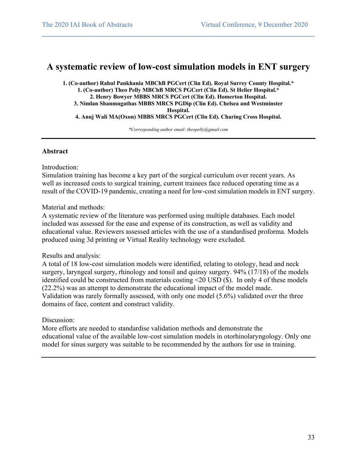### **A systematic review of low-cost simulation models in ENT surgery**

 $\mathcal{L}_\mathcal{L} = \{ \mathcal{L}_\mathcal{L} = \{ \mathcal{L}_\mathcal{L} = \{ \mathcal{L}_\mathcal{L} = \{ \mathcal{L}_\mathcal{L} = \{ \mathcal{L}_\mathcal{L} = \{ \mathcal{L}_\mathcal{L} = \{ \mathcal{L}_\mathcal{L} = \{ \mathcal{L}_\mathcal{L} = \{ \mathcal{L}_\mathcal{L} = \{ \mathcal{L}_\mathcal{L} = \{ \mathcal{L}_\mathcal{L} = \{ \mathcal{L}_\mathcal{L} = \{ \mathcal{L}_\mathcal{L} = \{ \mathcal{L}_\mathcal{$ 

**1. (Co-author) Rahul Pankhania MBChB PGCert (Clin Ed). Royal Surrey County Hospital.\* 1. (Co-author) Theo Pelly MBChB MRCS PGCert (Clin Ed). St Helier Hospital.\* 2. Henry Bowyer MBBS MRCS PGCert (Clin Ed). Homerton Hospital. 3. Nimlan Shanmugathas MBBS MRCS PGDip (Clin Ed). Chelsea and Westminster Hospital. 4. Anuj Wali MA(Oxon) MBBS MRCS PGCert (Clin Ed). Charing Cross Hospital.**

*\*Corresponding author email: theopelly@gmail.com*

#### **Abstract**

Introduction:

Simulation training has become a key part of the surgical curriculum over recent years. As well as increased costs to surgical training, current trainees face reduced operating time as a result of the COVID-19 pandemic, creating a need for low-cost simulation models in ENT surgery.

Material and methods:

A systematic review of the literature was performed using multiple databases. Each model included was assessed for the ease and expense of its construction, as well as validity and educational value. Reviewers assessed articles with the use of a standardised proforma. Models produced using 3d printing or Virtual Reality technology were excluded.

#### Results and analysis:

A total of 18 low-cost simulation models were identified, relating to otology, head and neck surgery, laryngeal surgery, rhinology and tonsil and quinsy surgery. 94% (17/18) of the models identified could be constructed from materials costing <20 USD (\$). In only 4 of these models (22.2%) was an attempt to demonstrate the educational impact of the model made. Validation was rarely formally assessed, with only one model (5.6%) validated over the three domains of face, content and construct validity.

#### Discussion:

More efforts are needed to standardise validation methods and demonstrate the educational value of the available low-cost simulation models in otorhinolaryngology. Only one model for sinus surgery was suitable to be recommended by the authors for use in training.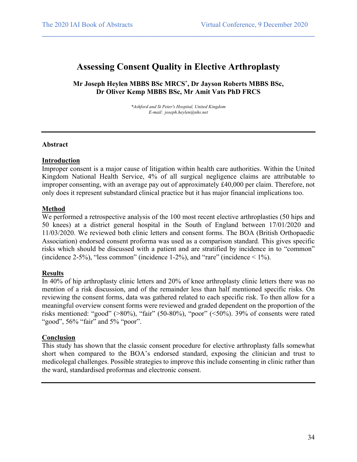### **Assessing Consent Quality in Elective Arthroplasty**

 $\mathcal{L}_\mathcal{L} = \{ \mathcal{L}_\mathcal{L} = \{ \mathcal{L}_\mathcal{L} = \{ \mathcal{L}_\mathcal{L} = \{ \mathcal{L}_\mathcal{L} = \{ \mathcal{L}_\mathcal{L} = \{ \mathcal{L}_\mathcal{L} = \{ \mathcal{L}_\mathcal{L} = \{ \mathcal{L}_\mathcal{L} = \{ \mathcal{L}_\mathcal{L} = \{ \mathcal{L}_\mathcal{L} = \{ \mathcal{L}_\mathcal{L} = \{ \mathcal{L}_\mathcal{L} = \{ \mathcal{L}_\mathcal{L} = \{ \mathcal{L}_\mathcal{$ 

**Mr Joseph Heylen MBBS BSc MRCS\* , Dr Jayson Roberts MBBS BSc, Dr Oliver Kemp MBBS BSc, Mr Amit Vats PhD FRCS**

> *\*Ashford and St Peter's Hospital, United Kingdom E-mail: joseph.heylen@nhs.net*

#### **Abstract**

#### **Introduction**

Improper consent is a major cause of litigation within health care authorities. Within the United Kingdom National Health Service, 4% of all surgical negligence claims are attributable to improper consenting, with an average pay out of approximately £40,000 per claim. Therefore, not only does it represent substandard clinical practice but it has major financial implications too.

#### **Method**

We performed a retrospective analysis of the 100 most recent elective arthroplasties (50 hips and 50 knees) at a district general hospital in the South of England between 17/01/2020 and 11/03/2020. We reviewed both clinic letters and consent forms. The BOA (British Orthopaedic Association) endorsed consent proforma was used as a comparison standard. This gives specific risks which should be discussed with a patient and are stratified by incidence in to "common" (incidence 2-5%), "less common" (incidence 1-2%), and "rare" (incidence  $\leq 1\%$ ).

#### **Results**

In 40% of hip arthroplasty clinic letters and 20% of knee arthroplasty clinic letters there was no mention of a risk discussion, and of the remainder less than half mentioned specific risks. On reviewing the consent forms, data was gathered related to each specific risk. To then allow for a meaningful overview consent forms were reviewed and graded dependent on the proportion of the risks mentioned: "good" (>80%), "fair" (50-80%), "poor" (<50%). 39% of consents were rated "good", 56% "fair" and 5% "poor".

#### **Conclusion**

This study has shown that the classic consent procedure for elective arthroplasty falls somewhat short when compared to the BOA's endorsed standard, exposing the clinician and trust to medicolegal challenges. Possible strategies to improve this include consenting in clinic rather than the ward, standardised proformas and electronic consent.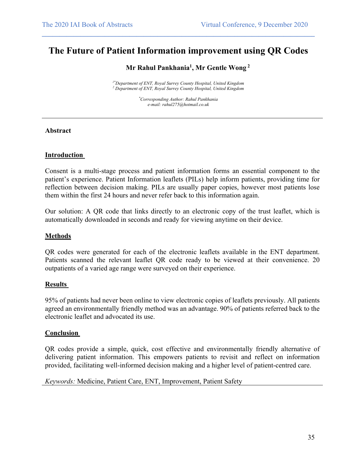### **The Future of Patient Information improvement using QR Codes**

 $\mathcal{L}_\mathcal{L} = \{ \mathcal{L}_\mathcal{L} = \{ \mathcal{L}_\mathcal{L} = \{ \mathcal{L}_\mathcal{L} = \{ \mathcal{L}_\mathcal{L} = \{ \mathcal{L}_\mathcal{L} = \{ \mathcal{L}_\mathcal{L} = \{ \mathcal{L}_\mathcal{L} = \{ \mathcal{L}_\mathcal{L} = \{ \mathcal{L}_\mathcal{L} = \{ \mathcal{L}_\mathcal{L} = \{ \mathcal{L}_\mathcal{L} = \{ \mathcal{L}_\mathcal{L} = \{ \mathcal{L}_\mathcal{L} = \{ \mathcal{L}_\mathcal{$ 

**Mr Rahul Pankhania1 , Mr Gentle Wong <sup>2</sup>**

*1\*Department of ENT, Royal Surrey County Hospital, United Kingdom <sup>2</sup> Department of ENT, Royal Surrey County Hospital, United Kingdom*

> *\* Corresponding Author: Rahul Pankhania e-mail: rahul275@hotmail.co.uk*

#### **Abstract**

#### **Introduction**

Consent is a multi-stage process and patient information forms an essential component to the patient's experience. Patient Information leaflets (PILs) help inform patients, providing time for reflection between decision making. PILs are usually paper copies, however most patients lose them within the first 24 hours and never refer back to this information again.

Our solution: A QR code that links directly to an electronic copy of the trust leaflet, which is automatically downloaded in seconds and ready for viewing anytime on their device.

#### **Methods**

QR codes were generated for each of the electronic leaflets available in the ENT department. Patients scanned the relevant leaflet QR code ready to be viewed at their convenience. 20 outpatients of a varied age range were surveyed on their experience.

#### **Results**

95% of patients had never been online to view electronic copies of leaflets previously. All patients agreed an environmentally friendly method was an advantage. 90% of patients referred back to the electronic leaflet and advocated its use.

#### **Conclusion**

QR codes provide a simple, quick, cost effective and environmentally friendly alternative of delivering patient information. This empowers patients to revisit and reflect on information provided, facilitating well-informed decision making and a higher level of patient-centred care.

*Keywords:* Medicine, Patient Care, ENT, Improvement, Patient Safety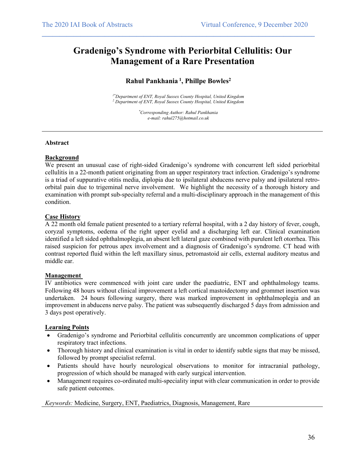## **Gradenigo's Syndrome with Periorbital Cellulitis: Our Management of a Rare Presentation**

 $\mathcal{L}_\mathcal{L} = \{ \mathcal{L}_\mathcal{L} = \{ \mathcal{L}_\mathcal{L} = \{ \mathcal{L}_\mathcal{L} = \{ \mathcal{L}_\mathcal{L} = \{ \mathcal{L}_\mathcal{L} = \{ \mathcal{L}_\mathcal{L} = \{ \mathcal{L}_\mathcal{L} = \{ \mathcal{L}_\mathcal{L} = \{ \mathcal{L}_\mathcal{L} = \{ \mathcal{L}_\mathcal{L} = \{ \mathcal{L}_\mathcal{L} = \{ \mathcal{L}_\mathcal{L} = \{ \mathcal{L}_\mathcal{L} = \{ \mathcal{L}_\mathcal{$ 

### **Rahul Pankhania <sup>1</sup> , Phillpe Bowles2**

*1\*Department of ENT, Royal Sussex County Hospital, United Kingdom <sup>2</sup> Department of ENT, Royal Sussex County Hospital, United Kingdom*

> *\* Corresponding Author: Rahul Pankhania e-mail: rahul275@hotmail.co.uk*

#### **Abstract**

#### **Background**

We present an unusual case of right-sided Gradenigo's syndrome with concurrent left sided periorbital cellulitis in a 22-month patient originating from an upper respiratory tract infection. Gradenigo's syndrome is a triad of suppurative otitis media, diplopia due to ipsilateral abducens nerve palsy and ipsilateral retroorbital pain due to trigeminal nerve involvement. We highlight the necessity of a thorough history and examination with prompt sub-specialty referral and a multi-disciplinary approach in the management of this condition.

#### **Case History**

A 22 month old female patient presented to a tertiary referral hospital, with a 2 day history of fever, cough, coryzal symptoms, oedema of the right upper eyelid and a discharging left ear. Clinical examination identified a left sided ophthalmoplegia, an absent left lateral gaze combined with purulent left otorrhea. This raised suspicion for petrous apex involvement and a diagnosis of Gradenigo's syndrome. CT head with contrast reported fluid within the left maxillary sinus, petromastoid air cells, external auditory meatus and middle ear.

#### **Management**

IV antibiotics were commenced with joint care under the paediatric, ENT and ophthalmology teams. Following 48 hours without clinical improvement a left cortical mastoidectomy and grommet insertion was undertaken. 24 hours following surgery, there was marked improvement in ophthalmoplegia and an improvement in abducens nerve palsy. The patient was subsequently discharged 5 days from admission and 3 days post operatively.

#### **Learning Points**

- Gradenigo's syndrome and Periorbital cellulitis concurrently are uncommon complications of upper respiratory tract infections.
- Thorough history and clinical examination is vital in order to identify subtle signs that may be missed, followed by prompt specialist referral.
- Patients should have hourly neurological observations to monitor for intracranial pathology, progression of which should be managed with early surgical intervention.
- Management requires co-ordinated multi-speciality input with clear communication in order to provide safe patient outcomes.

*Keywords:* Medicine, Surgery, ENT, Paediatrics, Diagnosis, Management, Rare